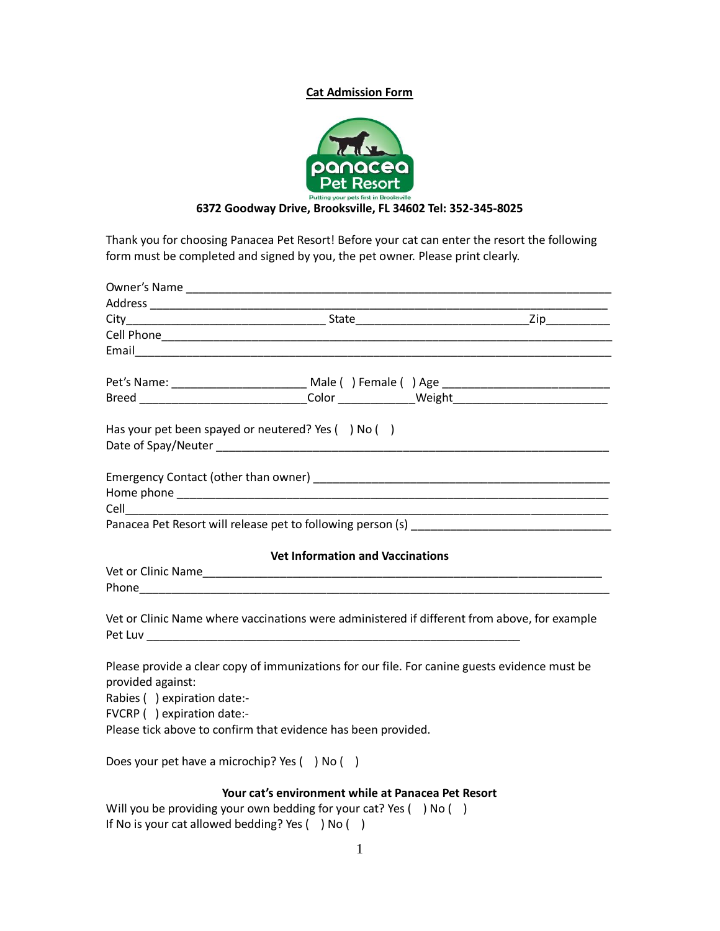## **Cat Admission Form**



## **6372 Goodway Drive, Brooksville, FL 34602 Tel: 352-345-8025**

Thank you for choosing Panacea Pet Resort! Before your cat can enter the resort the following form must be completed and signed by you, the pet owner. Please print clearly.

|                                                                                               |                                                    | Pet's Name: _________________________________ Male ( ) Female ( ) Age _____________________________ |  |  |
|-----------------------------------------------------------------------------------------------|----------------------------------------------------|-----------------------------------------------------------------------------------------------------|--|--|
|                                                                                               |                                                    |                                                                                                     |  |  |
|                                                                                               |                                                    |                                                                                                     |  |  |
| Has your pet been spayed or neutered? Yes () No ()                                            |                                                    |                                                                                                     |  |  |
|                                                                                               |                                                    |                                                                                                     |  |  |
|                                                                                               |                                                    |                                                                                                     |  |  |
|                                                                                               |                                                    |                                                                                                     |  |  |
|                                                                                               |                                                    |                                                                                                     |  |  |
|                                                                                               |                                                    |                                                                                                     |  |  |
|                                                                                               |                                                    |                                                                                                     |  |  |
|                                                                                               |                                                    |                                                                                                     |  |  |
|                                                                                               | <b>Vet Information and Vaccinations</b>            |                                                                                                     |  |  |
|                                                                                               |                                                    |                                                                                                     |  |  |
|                                                                                               |                                                    |                                                                                                     |  |  |
|                                                                                               |                                                    |                                                                                                     |  |  |
| Vet or Clinic Name where vaccinations were administered if different from above, for example  |                                                    |                                                                                                     |  |  |
|                                                                                               |                                                    |                                                                                                     |  |  |
|                                                                                               |                                                    |                                                                                                     |  |  |
| Please provide a clear copy of immunizations for our file. For canine guests evidence must be |                                                    |                                                                                                     |  |  |
| provided against:                                                                             |                                                    |                                                                                                     |  |  |
| Rabies () expiration date:-                                                                   |                                                    |                                                                                                     |  |  |
| FVCRP () expiration date:-                                                                    |                                                    |                                                                                                     |  |  |
| Please tick above to confirm that evidence has been provided.                                 |                                                    |                                                                                                     |  |  |
| Does your pet have a microchip? Yes () No ()                                                  |                                                    |                                                                                                     |  |  |
|                                                                                               |                                                    |                                                                                                     |  |  |
|                                                                                               | Your cat's environment while at Panacea Pet Resort |                                                                                                     |  |  |
| Will you be providing your own bedding for your cat? Yes $( \ )$ No $( \ )$                   |                                                    |                                                                                                     |  |  |

Will you be providing your own bedding for your cat? Yes ( ) No ( ) If No is your cat allowed bedding? Yes ( ) No ( )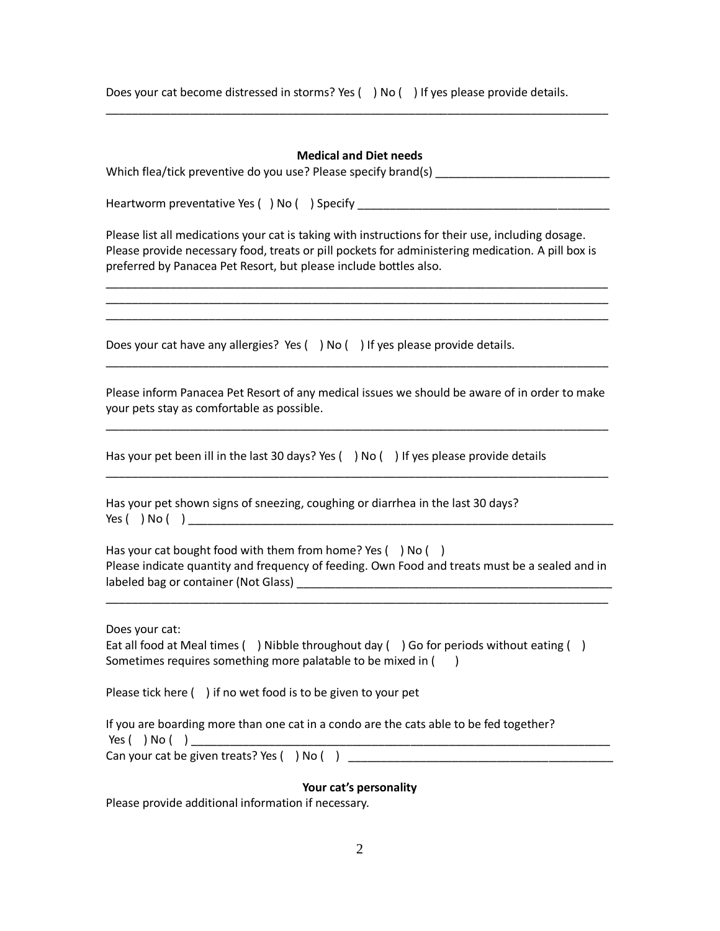Does your cat become distressed in storms? Yes () No () If yes please provide details.

## **Medical and Diet needs**

| Which flea/tick preventive do you use? Please specify brand(s) |  |
|----------------------------------------------------------------|--|
|----------------------------------------------------------------|--|

\_\_\_\_\_\_\_\_\_\_\_\_\_\_\_\_\_\_\_\_\_\_\_\_\_\_\_\_\_\_\_\_\_\_\_\_\_\_\_\_\_\_\_\_\_\_\_\_\_\_\_\_\_\_\_\_\_\_\_\_\_\_\_\_\_\_\_\_\_\_\_\_\_\_\_\_\_\_

Heartworm preventative Yes () No () Specify

Please list all medications your cat is taking with instructions for their use, including dosage. Please provide necessary food, treats or pill pockets for administering medication. A pill box is preferred by Panacea Pet Resort, but please include bottles also.

\_\_\_\_\_\_\_\_\_\_\_\_\_\_\_\_\_\_\_\_\_\_\_\_\_\_\_\_\_\_\_\_\_\_\_\_\_\_\_\_\_\_\_\_\_\_\_\_\_\_\_\_\_\_\_\_\_\_\_\_\_\_\_\_\_\_\_\_\_\_\_\_\_\_\_\_\_\_ \_\_\_\_\_\_\_\_\_\_\_\_\_\_\_\_\_\_\_\_\_\_\_\_\_\_\_\_\_\_\_\_\_\_\_\_\_\_\_\_\_\_\_\_\_\_\_\_\_\_\_\_\_\_\_\_\_\_\_\_\_\_\_\_\_\_\_\_\_\_\_\_\_\_\_\_\_\_ \_\_\_\_\_\_\_\_\_\_\_\_\_\_\_\_\_\_\_\_\_\_\_\_\_\_\_\_\_\_\_\_\_\_\_\_\_\_\_\_\_\_\_\_\_\_\_\_\_\_\_\_\_\_\_\_\_\_\_\_\_\_\_\_\_\_\_\_\_\_\_\_\_\_\_\_\_\_

Does your cat have any allergies? Yes ( ) No ( ) If yes please provide details.

Please inform Panacea Pet Resort of any medical issues we should be aware of in order to make your pets stay as comfortable as possible.

\_\_\_\_\_\_\_\_\_\_\_\_\_\_\_\_\_\_\_\_\_\_\_\_\_\_\_\_\_\_\_\_\_\_\_\_\_\_\_\_\_\_\_\_\_\_\_\_\_\_\_\_\_\_\_\_\_\_\_\_\_\_\_\_\_\_\_\_\_\_\_\_\_\_\_\_\_\_

\_\_\_\_\_\_\_\_\_\_\_\_\_\_\_\_\_\_\_\_\_\_\_\_\_\_\_\_\_\_\_\_\_\_\_\_\_\_\_\_\_\_\_\_\_\_\_\_\_\_\_\_\_\_\_\_\_\_\_\_\_\_\_\_\_\_\_\_\_\_\_\_\_\_\_\_\_\_

\_\_\_\_\_\_\_\_\_\_\_\_\_\_\_\_\_\_\_\_\_\_\_\_\_\_\_\_\_\_\_\_\_\_\_\_\_\_\_\_\_\_\_\_\_\_\_\_\_\_\_\_\_\_\_\_\_\_\_\_\_\_\_\_\_\_\_\_\_\_\_\_\_\_\_\_\_\_

Has your pet been ill in the last 30 days? Yes  $( )$  No  $( )$  If yes please provide details

Has your pet shown signs of sneezing, coughing or diarrhea in the last 30 days?  $Yes ( ) No ( )$ 

Has your cat bought food with them from home? Yes  $( )$  No  $( )$ Please indicate quantity and frequency of feeding. Own Food and treats must be a sealed and in labeled bag or container (Not Glass) \_\_\_\_\_\_\_\_\_\_\_\_\_\_\_\_\_\_\_\_\_\_\_\_\_\_\_\_\_\_\_\_\_\_\_\_\_\_\_\_\_\_\_\_\_\_\_\_\_

\_\_\_\_\_\_\_\_\_\_\_\_\_\_\_\_\_\_\_\_\_\_\_\_\_\_\_\_\_\_\_\_\_\_\_\_\_\_\_\_\_\_\_\_\_\_\_\_\_\_\_\_\_\_\_\_\_\_\_\_\_\_\_\_\_\_\_\_\_\_\_\_\_\_\_\_\_\_

Does your cat:

Eat all food at Meal times () Nibble throughout day () Go for periods without eating () Sometimes requires something more palatable to be mixed in  $($ 

Please tick here () if no wet food is to be given to your pet

If you are boarding more than one cat in a condo are the cats able to be fed together?  $Yes( ) No( )$ Can your cat be given treats? Yes () No ()

**Your cat's personality**

Please provide additional information if necessary.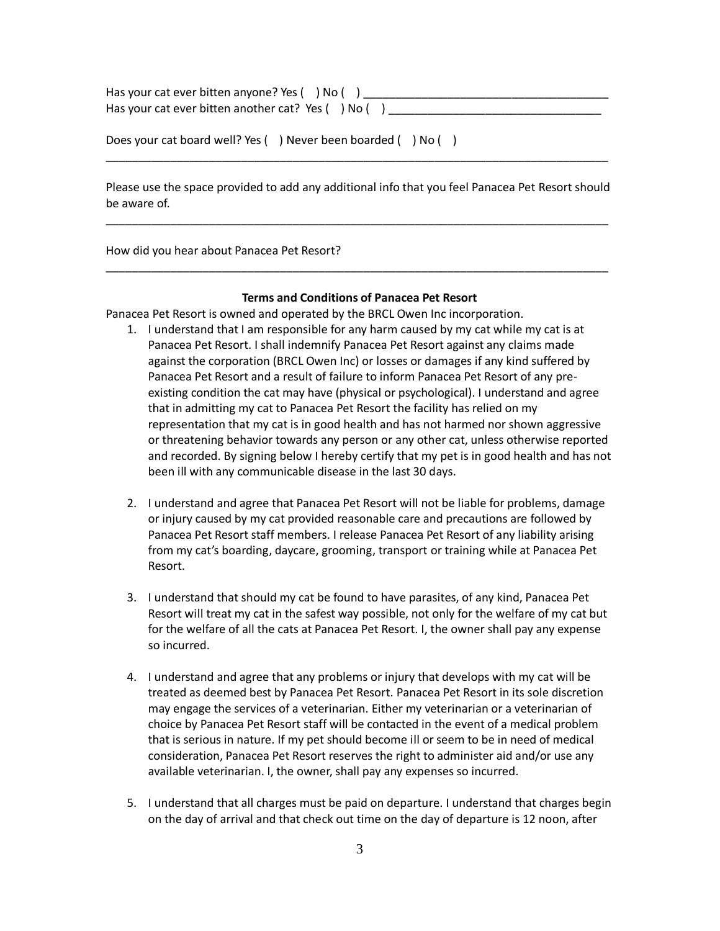| Has your cat ever bitten anyone? Yes () No ()            |  |
|----------------------------------------------------------|--|
| Has your cat ever bitten another cat? Yes $( )$ No $( )$ |  |

|  | Does your cat board well? Yes () Never been boarded () No ( |  |
|--|-------------------------------------------------------------|--|
|--|-------------------------------------------------------------|--|

Please use the space provided to add any additional info that you feel Panacea Pet Resort should be aware of.

\_\_\_\_\_\_\_\_\_\_\_\_\_\_\_\_\_\_\_\_\_\_\_\_\_\_\_\_\_\_\_\_\_\_\_\_\_\_\_\_\_\_\_\_\_\_\_\_\_\_\_\_\_\_\_\_\_\_\_\_\_\_\_\_\_\_\_\_\_\_\_\_\_\_\_\_\_\_

\_\_\_\_\_\_\_\_\_\_\_\_\_\_\_\_\_\_\_\_\_\_\_\_\_\_\_\_\_\_\_\_\_\_\_\_\_\_\_\_\_\_\_\_\_\_\_\_\_\_\_\_\_\_\_\_\_\_\_\_\_\_\_\_\_\_\_\_\_\_\_\_\_\_\_\_\_\_

How did you hear about Panacea Pet Resort?

## **Terms and Conditions of Panacea Pet Resort**

\_\_\_\_\_\_\_\_\_\_\_\_\_\_\_\_\_\_\_\_\_\_\_\_\_\_\_\_\_\_\_\_\_\_\_\_\_\_\_\_\_\_\_\_\_\_\_\_\_\_\_\_\_\_\_\_\_\_\_\_\_\_\_\_\_\_\_\_\_\_\_\_\_\_\_\_\_\_

Panacea Pet Resort is owned and operated by the BRCL Owen Inc incorporation.

- 1. I understand that I am responsible for any harm caused by my cat while my cat is at Panacea Pet Resort. I shall indemnify Panacea Pet Resort against any claims made against the corporation (BRCL Owen Inc) or losses or damages if any kind suffered by Panacea Pet Resort and a result of failure to inform Panacea Pet Resort of any preexisting condition the cat may have (physical or psychological). I understand and agree that in admitting my cat to Panacea Pet Resort the facility has relied on my representation that my cat is in good health and has not harmed nor shown aggressive or threatening behavior towards any person or any other cat, unless otherwise reported and recorded. By signing below I hereby certify that my pet is in good health and has not been ill with any communicable disease in the last 30 days.
- 2. I understand and agree that Panacea Pet Resort will not be liable for problems, damage or injury caused by my cat provided reasonable care and precautions are followed by Panacea Pet Resort staff members. I release Panacea Pet Resort of any liability arising from my cat's boarding, daycare, grooming, transport or training while at Panacea Pet Resort.
- 3. I understand that should my cat be found to have parasites, of any kind, Panacea Pet Resort will treat my cat in the safest way possible, not only for the welfare of my cat but for the welfare of all the cats at Panacea Pet Resort. I, the owner shall pay any expense so incurred.
- 4. I understand and agree that any problems or injury that develops with my cat will be treated as deemed best by Panacea Pet Resort. Panacea Pet Resort in its sole discretion may engage the services of a veterinarian. Either my veterinarian or a veterinarian of choice by Panacea Pet Resort staff will be contacted in the event of a medical problem that is serious in nature. If my pet should become ill or seem to be in need of medical consideration, Panacea Pet Resort reserves the right to administer aid and/or use any available veterinarian. I, the owner, shall pay any expenses so incurred.
- 5. I understand that all charges must be paid on departure. I understand that charges begin on the day of arrival and that check out time on the day of departure is 12 noon, after